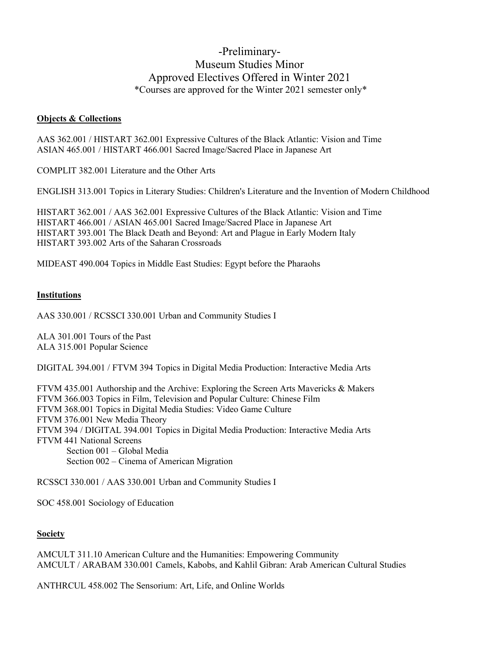## -Preliminary-Museum Studies Minor Approved Electives Offered in Winter 2021 \*Courses are approved for the Winter 2021 semester only\*

## **Objects & Collections**

AAS 362.001 / HISTART 362.001 Expressive Cultures of the Black Atlantic: Vision and Time ASIAN 465.001 / HISTART 466.001 Sacred Image/Sacred Place in Japanese Art

COMPLIT 382.001 Literature and the Other Arts

ENGLISH 313.001 Topics in Literary Studies: Children's Literature and the Invention of Modern Childhood

HISTART 362.001 / AAS 362.001 Expressive Cultures of the Black Atlantic: Vision and Time HISTART 466.001 / ASIAN 465.001 Sacred Image/Sacred Place in Japanese Art HISTART 393.001 The Black Death and Beyond: Art and Plague in Early Modern Italy HISTART 393.002 Arts of the Saharan Crossroads

MIDEAST 490.004 Topics in Middle East Studies: Egypt before the Pharaohs

## **Institutions**

AAS 330.001 / RCSSCI 330.001 Urban and Community Studies I

ALA 301.001 Tours of the Past ALA 315.001 Popular Science

DIGITAL 394.001 / FTVM 394 Topics in Digital Media Production: Interactive Media Arts

FTVM 435.001 Authorship and the Archive: Exploring the Screen Arts Mavericks & Makers FTVM 366.003 Topics in Film, Television and Popular Culture: Chinese Film FTVM 368.001 Topics in Digital Media Studies: Video Game Culture FTVM 376.001 New Media Theory FTVM 394 / DIGITAL 394.001 Topics in Digital Media Production: Interactive Media Arts FTVM 441 National Screens Section 001 – Global Media Section 002 – Cinema of American Migration

RCSSCI 330.001 / AAS 330.001 Urban and Community Studies I

SOC 458.001 Sociology of Education

## **Society**

AMCULT 311.10 American Culture and the Humanities: Empowering Community AMCULT / ARABAM 330.001 Camels, Kabobs, and Kahlil Gibran: Arab American Cultural Studies

ANTHRCUL 458.002 The Sensorium: Art, Life, and Online Worlds